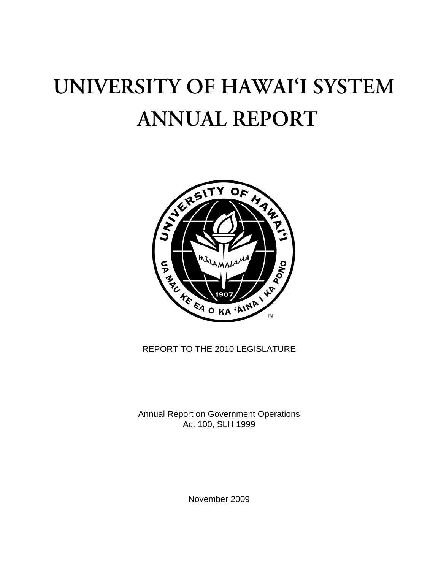# UNIVERSITY OF HAWAI'I SYSTEM **ANNUAL REPORT**



REPORT TO THE 2010 LEGISLATURE

Annual Report on Government Operations Act 100, SLH 1999

November 2009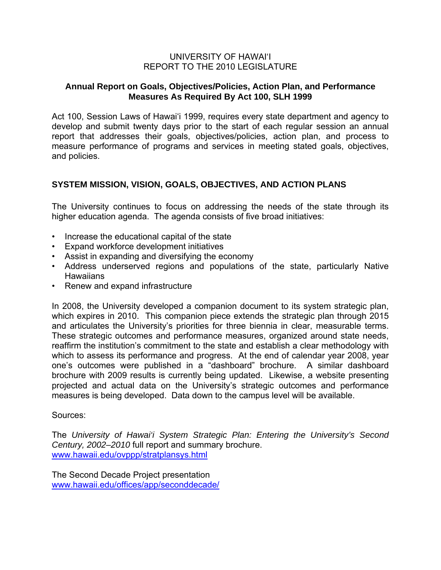#### UNIVERSITY OF HAWAI'I REPORT TO THE 2010 LEGISLATURE

#### **Annual Report on Goals, Objectives/Policies, Action Plan, and Performance Measures As Required By Act 100, SLH 1999**

Act 100, Session Laws of Hawai'i 1999, requires every state department and agency to develop and submit twenty days prior to the start of each regular session an annual report that addresses their goals, objectives/policies, action plan, and process to measure performance of programs and services in meeting stated goals, objectives, and policies.

## **SYSTEM MISSION, VISION, GOALS, OBJECTIVES, AND ACTION PLANS**

The University continues to focus on addressing the needs of the state through its higher education agenda. The agenda consists of five broad initiatives:

- Increase the educational capital of the state
- Expand workforce development initiatives
- Assist in expanding and diversifying the economy
- Address underserved regions and populations of the state, particularly Native **Hawaiians**
- Renew and expand infrastructure

In 2008, the University developed a companion document to its system strategic plan, which expires in 2010. This companion piece extends the strategic plan through 2015 and articulates the University's priorities for three biennia in clear, measurable terms. These strategic outcomes and performance measures, organized around state needs, reaffirm the institution's commitment to the state and establish a clear methodology with which to assess its performance and progress. At the end of calendar year 2008, year one's outcomes were published in a "dashboard" brochure. A similar dashboard brochure with 2009 results is currently being updated. Likewise, a website presenting projected and actual data on the University's strategic outcomes and performance measures is being developed. Data down to the campus level will be available.

#### Sources:

The *University of Hawai'i System Strategic Plan: Entering the University's Second Century, 2002–2010* full report and summary brochure. [www.hawaii.edu/ovppp/stratplansys.html](http://www.hawaii.edu/ovppp/stratplansys.html)

The Second Decade Project presentation [www.hawaii.edu/offices/app/seconddecade/](http://www.hawaii.edu/offices/app/seconddecade/)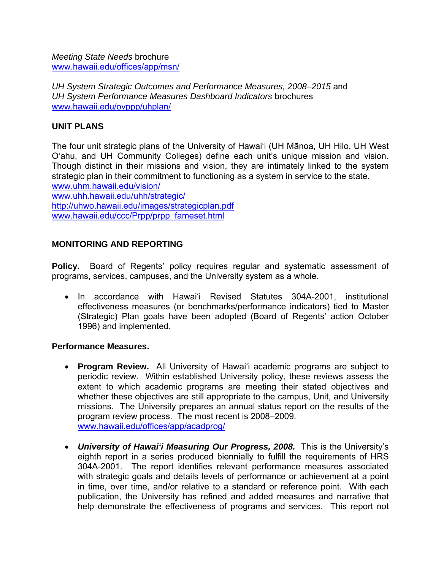*Meeting State Needs* brochure [www.hawaii.edu/offices/app/msn/](http://www.hawaii.edu/offices/app/msn/)

*UH System Strategic Outcomes and Performance Measures, 2008–2015* and *UH System Performance Measures Dashboard Indicators* brochures [www.hawaii.edu/ovppp/uhplan/](http://www.hawaii.edu/ovppp/uhplan/)

### **UNIT PLANS**

The four unit strategic plans of the University of Hawai'i (UH Mānoa, UH Hilo, UH West O'ahu, and UH Community Colleges) define each unit's unique mission and vision. Though distinct in their missions and vision, they are intimately linked to the system strategic plan in their commitment to functioning as a system in service to the state. [www.uhm.hawaii.edu/vision/](http://www.uhm.hawaii.edu/vision/) [www.uhh.hawaii.edu/uhh/strategic/](http://www.uhh.hawaii.edu/uhh/strategic/) <http://uhwo.hawaii.edu/images/strategicplan.pdf> [www.hawaii.edu/ccc/Prpp/prpp\\_fameset.html](http://www.hawaii.edu/ccc/Prpp/prpp_fameset.html)

# **MONITORING AND REPORTING**

**Policy.** Board of Regents' policy requires regular and systematic assessment of programs, services, campuses, and the University system as a whole.

• In accordance with Hawai'i Revised Statutes 304A-2001, institutional effectiveness measures (or benchmarks/performance indicators) tied to Master (Strategic) Plan goals have been adopted (Board of Regents' action October 1996) and implemented.

#### **Performance Measures.**

- **Program Review.** All University of Hawai'i academic programs are subject to periodic review. Within established University policy, these reviews assess the extent to which academic programs are meeting their stated objectives and whether these objectives are still appropriate to the campus, Unit, and University missions. The University prepares an annual status report on the results of the program review process. The most recent is 2008–2009. [www.hawaii.edu/offices/app/acadprog/](http://www.hawaii.edu/offices/app/acadprog/)
- *University of Hawai'i Measuring Our Progress, 2008.*This is the University's eighth report in a series produced biennially to fulfill the requirements of HRS 304A-2001. The report identifies relevant performance measures associated with strategic goals and details levels of performance or achievement at a point in time, over time, and/or relative to a standard or reference point. With each publication, the University has refined and added measures and narrative that help demonstrate the effectiveness of programs and services. This report not